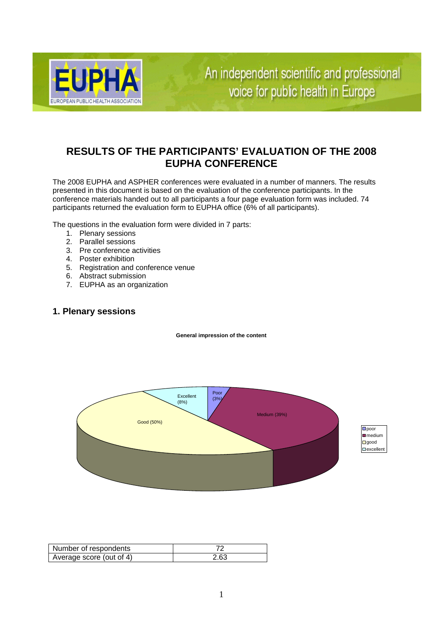

An independent scientific and professional voice for public health in Europe

# **RESULTS OF THE PARTICIPANTS' EVALUATION OF THE 2008 EUPHA CONFERENCE**

The 2008 EUPHA and ASPHER conferences were evaluated in a number of manners. The results presented in this document is based on the evaluation of the conference participants. In the conference materials handed out to all participants a four page evaluation form was included. 74 participants returned the evaluation form to EUPHA office (6% of all participants).

The questions in the evaluation form were divided in 7 parts:

- 1. Plenary sessions
- 2. Parallel sessions
- 3. Pre conference activities
- 4. Poster exhibition
- 5. Registration and conference venue
- 6. Abstract submission
- 7. EUPHA as an organization

### **1. Plenary sessions**

**General impression of the content**



| Number of respondents    |      |
|--------------------------|------|
| Average score (out of 4) | 2.63 |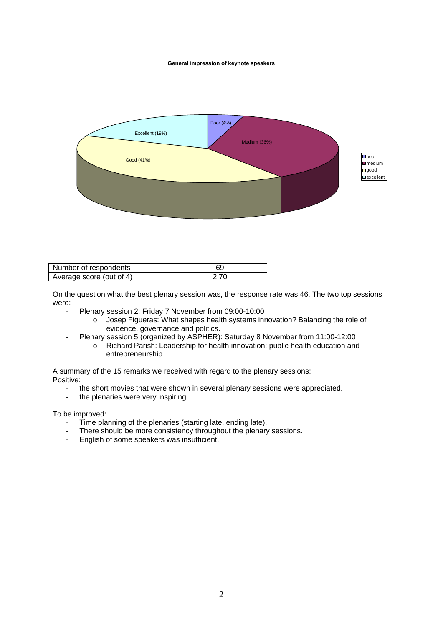#### **General impression of keynote speakers**



| Number of respondents    |  |
|--------------------------|--|
| Average score (out of 4) |  |

On the question what the best plenary session was, the response rate was 46. The two top sessions were:

- Plenary session 2: Friday 7 November from 09:00-10:00
	- o Josep Figueras: What shapes health systems innovation? Balancing the role of evidence, governance and politics.
	- Plenary session 5 (organized by ASPHER): Saturday 8 November from 11:00-12:00
		- o Richard Parish: Leadership for health innovation: public health education and entrepreneurship.

A summary of the 15 remarks we received with regard to the plenary sessions: Positive:

- the short movies that were shown in several plenary sessions were appreciated.
- the plenaries were very inspiring.

To be improved:

- Time planning of the plenaries (starting late, ending late).
- There should be more consistency throughout the plenary sessions.<br>- Foolish of some speakers was insufficient
- English of some speakers was insufficient.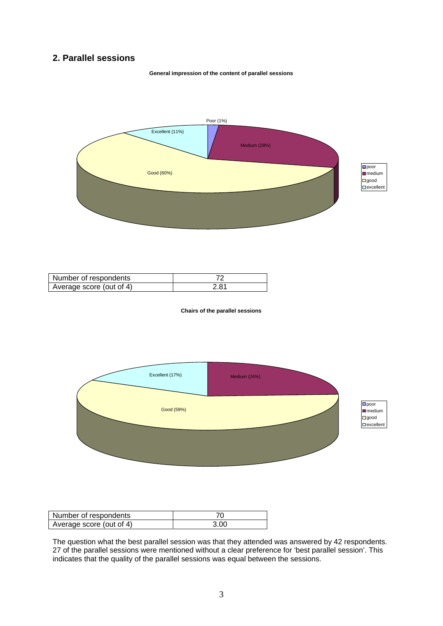## **2. Parallel sessions**

**General impression of the content of parallel sessions**



| Number of respondents    |                |
|--------------------------|----------------|
| Average score (out of 4) | $2.8^{\prime}$ |

**Chairs of the parallel sessions**



| Number of respondents    |      |
|--------------------------|------|
| Average score (out of 4) | 3.00 |

The question what the best parallel session was that they attended was answered by 42 respondents. 27 of the parallel sessions were mentioned without a clear preference for 'best parallel session'. This indicates that the quality of the parallel sessions was equal between the sessions.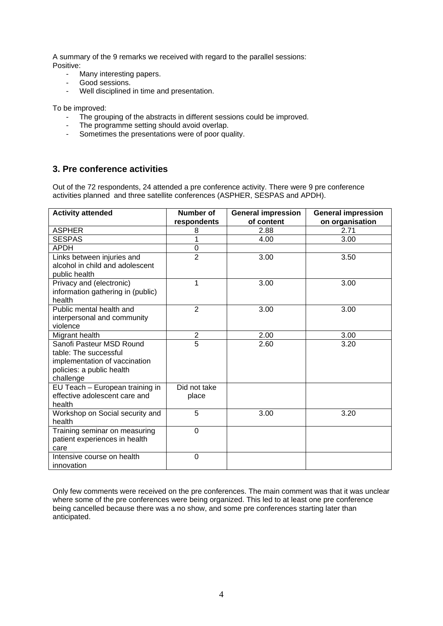A summary of the 9 remarks we received with regard to the parallel sessions: Positive:

- Many interesting papers.
- Good sessions.
- Well disciplined in time and presentation.

To be improved:

- The grouping of the abstracts in different sessions could be improved.
- The programme setting should avoid overlap.<br>- Sometimes the presentations were of poor qu
- Sometimes the presentations were of poor quality.

### **3. Pre conference activities**

Out of the 72 respondents, 24 attended a pre conference activity. There were 9 pre conference activities planned and three satellite conferences (ASPHER, SESPAS and APDH).

| <b>Activity attended</b>          | Number of      | <b>General impression</b> | <b>General impression</b> |
|-----------------------------------|----------------|---------------------------|---------------------------|
|                                   | respondents    | of content                | on organisation           |
| <b>ASPHER</b>                     | 8              | 2.88                      | 2.71                      |
| <b>SESPAS</b>                     | 1              | 4.00                      | 3.00                      |
| <b>APDH</b>                       | 0              |                           |                           |
| Links between injuries and        | $\overline{2}$ | 3.00                      | 3.50                      |
| alcohol in child and adolescent   |                |                           |                           |
| public health                     |                |                           |                           |
| Privacy and (electronic)          | 1              | 3.00                      | 3.00                      |
| information gathering in (public) |                |                           |                           |
| health                            |                |                           |                           |
| Public mental health and          | $\overline{2}$ | 3.00                      | 3.00                      |
| interpersonal and community       |                |                           |                           |
| violence                          |                |                           |                           |
| Migrant health                    | $\overline{2}$ | 2.00                      | 3.00                      |
| Sanofi Pasteur MSD Round          | $\overline{5}$ | 2.60                      | 3.20                      |
| table: The successful             |                |                           |                           |
| implementation of vaccination     |                |                           |                           |
| policies: a public health         |                |                           |                           |
| challenge                         |                |                           |                           |
| EU Teach - European training in   | Did not take   |                           |                           |
| effective adolescent care and     | place          |                           |                           |
| health                            |                |                           |                           |
| Workshop on Social security and   | 5              | 3.00                      | 3.20                      |
| health                            |                |                           |                           |
| Training seminar on measuring     | 0              |                           |                           |
| patient experiences in health     |                |                           |                           |
| care                              |                |                           |                           |
| Intensive course on health        | 0              |                           |                           |
| innovation                        |                |                           |                           |

Only few comments were received on the pre conferences. The main comment was that it was unclear where some of the pre conferences were being organized. This led to at least one pre conference being cancelled because there was a no show, and some pre conferences starting later than anticipated.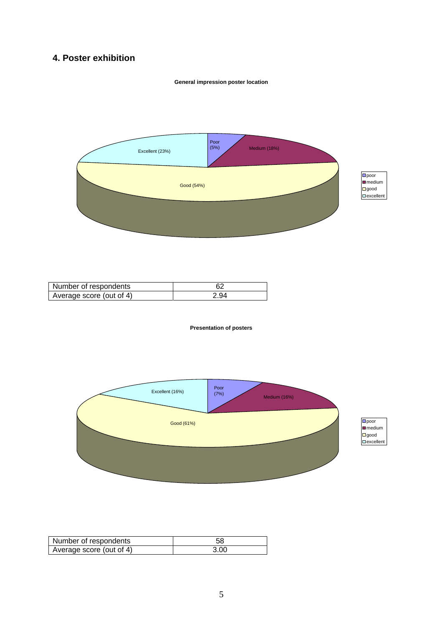# **4. Poster exhibition**

### **General impression poster location**



| Number of respondents    |  |
|--------------------------|--|
| Average score (out of 4) |  |

#### **Presentation of posters**



| Number of respondents    |      |
|--------------------------|------|
| Average score (out of 4) | 3 OO |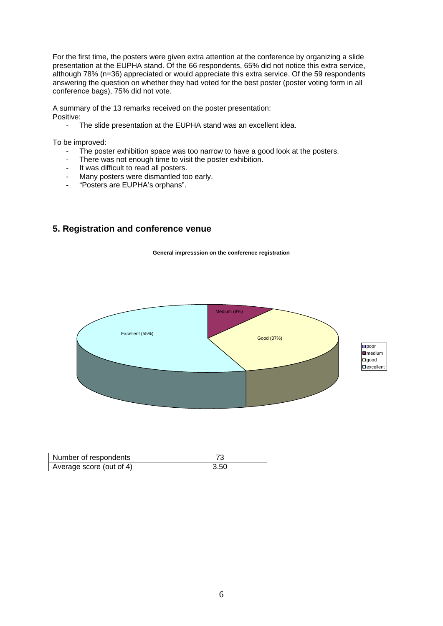For the first time, the posters were given extra attention at the conference by organizing a slide presentation at the EUPHA stand. Of the 66 respondents, 65% did not notice this extra service, although 78% (n=36) appreciated or would appreciate this extra service. Of the 59 respondents answering the question on whether they had voted for the best poster (poster voting form in all conference bags), 75% did not vote.

A summary of the 13 remarks received on the poster presentation: Positive:

- The slide presentation at the EUPHA stand was an excellent idea.

To be improved:

- The poster exhibition space was too narrow to have a good look at the posters.
- There was not enough time to visit the poster exhibition.
- It was difficult to read all posters.
- Many posters were dismantled too early.
- "Posters are EUPHA's orphans".

### **5. Registration and conference venue**

**General impresssion on the conference registration**



| Number of respondents    |           |
|--------------------------|-----------|
| Average score (out of 4) | cr<br>.ou |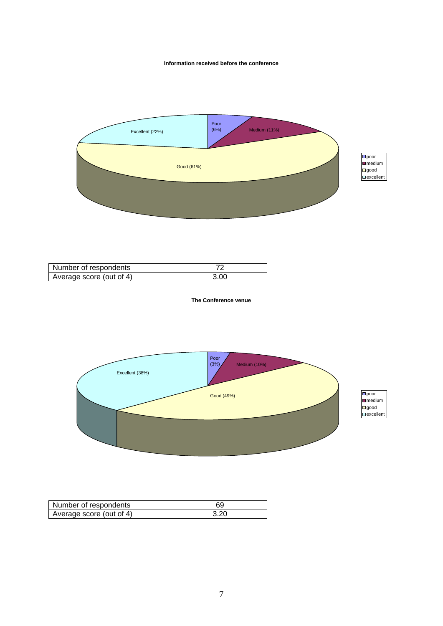#### **Information received before the conference**



| Number of respondents    | ⇁    |
|--------------------------|------|
| Average score (out of 4) | 3.00 |

**The Conference venue**



| $\square$ poor        |
|-----------------------|
| $m$ edium             |
| $\square$ good        |
| l<br>$\Box$ excellent |

| Number of respondents    |     |
|--------------------------|-----|
| Average score (out of 4) | റ്റ |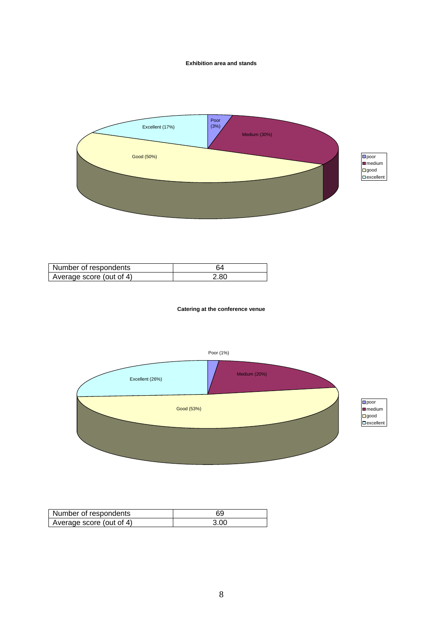#### **Exhibition area and stands**



| Number of respondents    |             |
|--------------------------|-------------|
| Average score (out of 4) | റ്റ<br>Z.OU |

**Catering at the conference venue**



| Number of respondents    |      |
|--------------------------|------|
| Average score (out of 4) | 3.00 |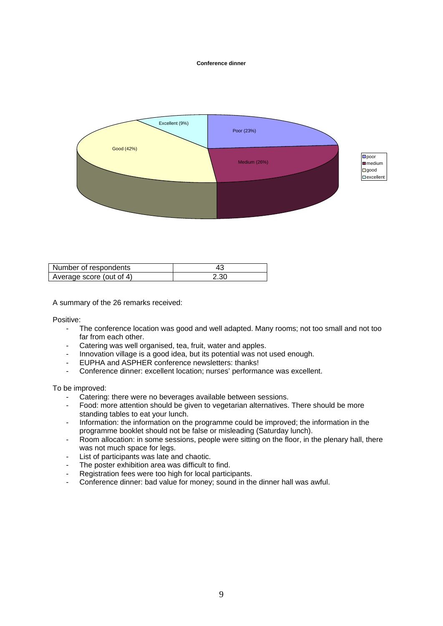#### **Conference dinner**



| Number of respondents    |      |
|--------------------------|------|
| Average score (out of 4) | z.ou |

A summary of the 26 remarks received:

Positive:

- The conference location was good and well adapted. Many rooms; not too small and not too far from each other.
- Catering was well organised, tea, fruit, water and apples.<br>- Innovation village is a good idea but its potential was not
- Innovation village is a good idea, but its potential was not used enough.
- EUPHA and ASPHER conference newsletters: thanks!
- Conference dinner: excellent location; nurses' performance was excellent.

To be improved:

- Catering: there were no beverages available between sessions.
- Food: more attention should be given to vegetarian alternatives. There should be more standing tables to eat your lunch.
- Information: the information on the programme could be improved; the information in the programme booklet should not be false or misleading (Saturday lunch).
- Room allocation: in some sessions, people were sitting on the floor, in the plenary hall, there was not much space for legs.
- List of participants was late and chaotic.
- The poster exhibition area was difficult to find.
- Registration fees were too high for local participants.
- Conference dinner: bad value for money; sound in the dinner hall was awful.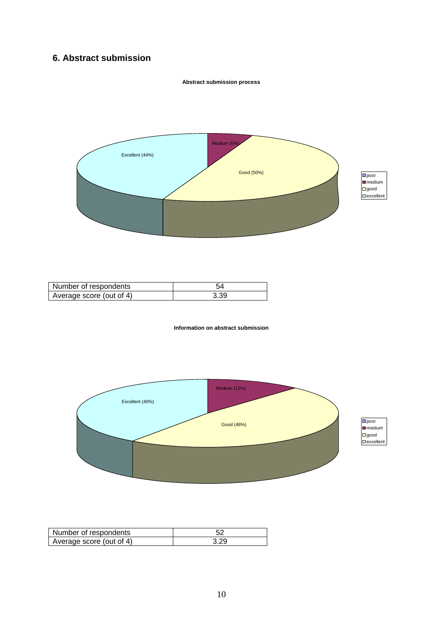## **6. Abstract submission**



**Abstract submission process**

Number of respondents and the state of the state of the state of the state of the state of the state of the state of the state of the state of the state of the state of the state of the state of the state of the state of t Average score (out of 4) 3.39

#### **Information on abstract submission**



| Number of respondents    |     |
|--------------------------|-----|
| Average score (out of 4) | nr. |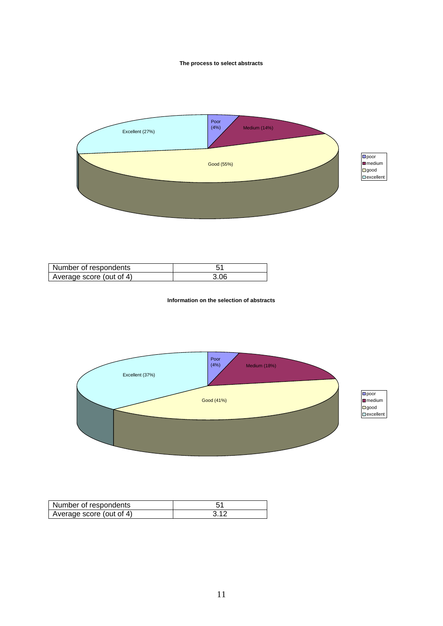#### **The process to select abstracts**



| Number of respondents    |      |
|--------------------------|------|
| Average score (out of 4) | 3.06 |

**Information on the selection of abstracts**



| Number of respondents    |    |
|--------------------------|----|
| Average score (out of 4) | ີ. |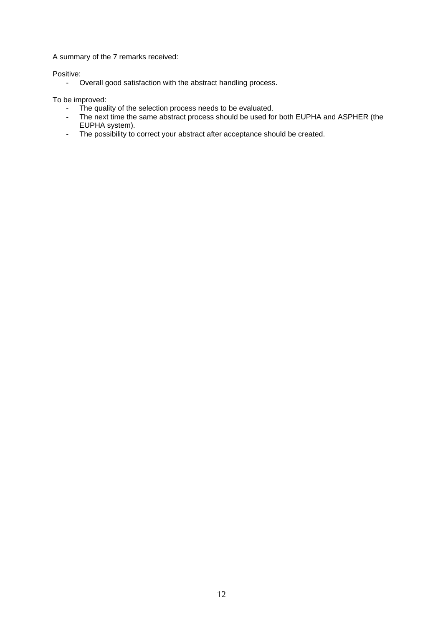A summary of the 7 remarks received:

Positive:

- Overall good satisfaction with the abstract handling process.

To be improved:

- The quality of the selection process needs to be evaluated.
- The next time the same abstract process should be used for both EUPHA and ASPHER (the EUPHA system).
- The possibility to correct your abstract after acceptance should be created.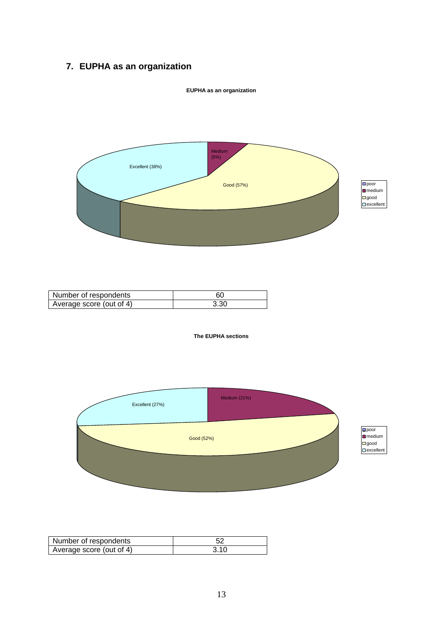# **7. EUPHA as an organization**



**EUPHA as an organization**

| Number of respondents    | DΟ            |
|--------------------------|---------------|
| Average score (out of 4) | $\sim$<br>v.v |

#### **The EUPHA sections**



| Number<br>r of respondents |    |
|----------------------------|----|
| Average score (out of 4)   | u. |